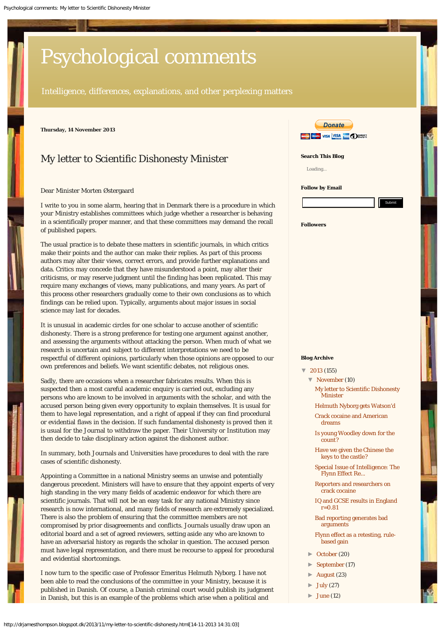# <span id="page-0-0"></span>[Psychological comments](http://drjamesthompson.blogspot.dk/)

Intelligence, differences, explanations, and other perplexing matters

**Thursday, 14 November 2013**

# My letter to Scientific Dishonesty Minister

Dear Minister Morten Østergaard

I write to you in some alarm, hearing that in Denmark there is a procedure in which your Ministry establishes committees which judge whether a researcher is behaving in a scientifically proper manner, and that these committees may demand the recall of published papers.

The usual practice is to debate these matters in scientific journals, in which critics make their points and the author can make their replies. As part of this process authors may alter their views, correct errors, and provide further explanations and data. Critics may concede that they have misunderstood a point, may alter their criticisms, or may reserve judgment until the finding has been replicated. This may require many exchanges of views, many publications, and many years. As part of this process other researchers gradually come to their own conclusions as to which findings can be relied upon. Typically, arguments about major issues in social science may last for decades.

It is unusual in academic circles for one scholar to accuse another of scientific dishonesty. There is a strong preference for testing one argument against another, and assessing the arguments without attacking the person. When much of what we research is uncertain and subject to different interpretations we need to be respectful of different opinions, particularly when those opinions are opposed to our own preferences and beliefs. We want scientific debates, not religious ones.

Sadly, there are occasions when a researcher fabricates results. When this is suspected then a most careful academic enquiry is carried out, excluding any persons who are known to be involved in arguments with the scholar, and with the accused person being given every opportunity to explain themselves. It is usual for them to have legal representation, and a right of appeal if they can find procedural or evidential flaws in the decision. If such fundamental dishonesty is proved then it is usual for the Journal to withdraw the paper. Their University or Institution may then decide to take disciplinary action against the dishonest author.

In summary, both Journals and Universities have procedures to deal with the rare cases of scientific dishonesty.

Appointing a Committee in a national Ministry seems an unwise and potentially dangerous precedent. Ministers will have to ensure that they appoint experts of very high standing in the very many fields of academic endeavor for which there are scientific journals. That will not be an easy task for any national Ministry since research is now international, and many fields of research are extremely specialized. There is also the problem of ensuring that the committee members are not compromised by prior disagreements and conflicts. Journals usually draw upon an editorial board and a set of agreed reviewers, setting aside any who are known to have an adversarial history as regards the scholar in question. The accused person must have legal representation, and there must be recourse to appeal for procedural and evidential shortcomings.

I now turn to the specific case of Professor Emeritus Helmuth Nyborg. I have not been able to read the conclusions of the committee in your Ministry, because it is published in Danish. Of course, a Danish criminal court would publish its judgment in Danish, but this is an example of the problems which arise when a political and



**Search This Blog**

Loading...

#### **Follow by Email**

#### **Followers**

#### **Blog Archive**

- $\sqrt{2013}$  $\sqrt{2013}$  $\sqrt{2013}$  (155)
	- ▼ [November](http://drjamesthompson.blogspot.dk/2013_11_01_archive.html) (10) [My letter to Scientific Dishonesty](#page-0-0) [Minister](#page-0-0)
		- [Helmuth Nyborg gets Watson'd](http://drjamesthompson.blogspot.dk/2013/11/helmuth-nyborg-gets-watsond.html)
		- [Crack cocaine and American](http://drjamesthompson.blogspot.dk/2013/11/crack-cocaine-and-american-dreams.html) [dreams](http://drjamesthompson.blogspot.dk/2013/11/crack-cocaine-and-american-dreams.html)
		- [Is young Woodley down for the](http://drjamesthompson.blogspot.dk/2013/11/is-young-woodley-down-for-count.html) [count?](http://drjamesthompson.blogspot.dk/2013/11/is-young-woodley-down-for-count.html)
		- [Have we given the Chinese the](http://drjamesthompson.blogspot.dk/2013/11/have-we-given-chinese-keys-to-castle.html) [keys to the castle?](http://drjamesthompson.blogspot.dk/2013/11/have-we-given-chinese-keys-to-castle.html)
		- [Special Issue of Intelligence: The](http://drjamesthompson.blogspot.dk/2013/11/special-issue-of-intelligence-flynn.html) [Flynn Effect Re...](http://drjamesthompson.blogspot.dk/2013/11/special-issue-of-intelligence-flynn.html)
		- [Reporters and researchers on](http://drjamesthompson.blogspot.dk/2013/11/reporters-and-researchers-on-crack.html) [crack cocaine](http://drjamesthompson.blogspot.dk/2013/11/reporters-and-researchers-on-crack.html)
		- [IQ and GCSE results in England](http://drjamesthompson.blogspot.dk/2013/11/iq-and-gcse-results-in-england-r081.html) [r=0.81](http://drjamesthompson.blogspot.dk/2013/11/iq-and-gcse-results-in-england-r081.html)

[Bad reporting generates bad](http://drjamesthompson.blogspot.dk/2013/11/bad-reporting-generates-bad-arguments.html) [arguments](http://drjamesthompson.blogspot.dk/2013/11/bad-reporting-generates-bad-arguments.html)

- [Flynn effect as a retesting, rule](http://drjamesthompson.blogspot.dk/2013/11/flynn-effect-as-retesting-rule-based.html)[based gain](http://drjamesthompson.blogspot.dk/2013/11/flynn-effect-as-retesting-rule-based.html)
- ► [October](http://drjamesthompson.blogspot.dk/2013_10_01_archive.html) (20)
- ► [September](http://drjamesthompson.blogspot.dk/2013_09_01_archive.html) (17)
- ► [August](http://drjamesthompson.blogspot.dk/2013_08_01_archive.html) (23)
- ► [July](http://drjamesthompson.blogspot.dk/2013_07_01_archive.html) (27)
- ► [June](http://drjamesthompson.blogspot.dk/2013_06_01_archive.html) (12)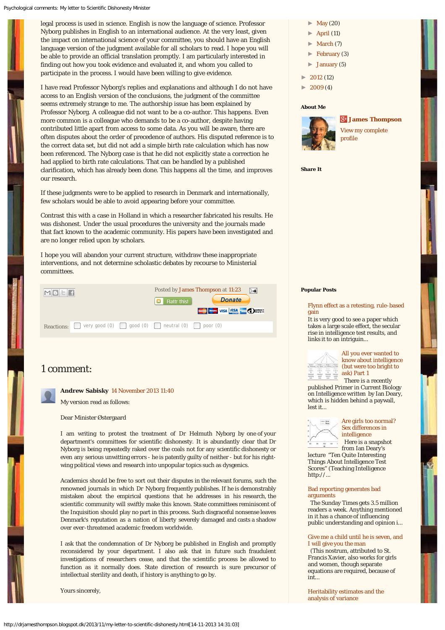legal process is used in science. English is now the language of science. Professor Nyborg publishes in English to an international audience. At the very least, given the impact on international science of your committee, you should have an English language version of the judgment available for all scholars to read. I hope you will be able to provide an official translation promptly. I am particularly interested in finding out how you took evidence and evaluated it, and whom you called to participate in the process. I would have been willing to give evidence.

I have read Professor Nyborg's replies and explanations and although I do not have access to an English version of the conclusions, the judgment of the committee seems extremely strange to me. The authorship issue has been explained by Professor Nyborg. A colleague did not want to be a co-author. This happens. Even more common is a colleague who demands to be a co-author, despite having contributed little apart from access to some data. As you will be aware, there are often disputes about the order of precedence of authors. His disputed reference is to the correct data set, but did not add a simple birth rate calculation which has now been referenced. The Nyborg case is that he did not explicitly state a correction he had applied to birth rate calculations. That can be handled by a published clarification, which has already been done. This happens all the time, and improves our research.

If these judgments were to be applied to research in Denmark and internationally, few scholars would be able to avoid appearing before your committee.

Contrast this with a case in Holland in which a researcher fabricated his results. He was dishonest. Under the usual procedures the university and the journals made that fact known to the academic community. His papers have been investigated and are no longer relied upon by scholars.

I hope you will abandon your current structure, withdraw these inappropriate interventions, and not determine scholastic debates by recourse to Ministerial committees.



## 1 comment:

**Andrew Sabisky** [14 November 2013 11:40](http://drjamesthompson.blogspot.com/2013/11/my-letter-to-scientific-dishonesty.html?showComment=1384429253051#c1423307898892476299)

My version read as follows:

Dear Minister Østergaard

I am writing to protest the treatment of Dr Helmuth Nyborg by one of your department's committees for scientific dishonesty. It is abundantly clear that Dr Nyborg is being repeatedly raked over the coals not for any scientific dishonesty or even any serious unwitting errors - he is patently guilty of neither - but for his rightwing political views and research into unpopular topics such as dysgenics.

Academics should be free to sort out their disputes in the relevant forums, such the renowned journals in which Dr Nyborg frequently publishes. If he is demonstrably mistaken about the empirical questions that he addresses in his research, the scientific community will swiftly make this known. State committees reminiscent of the Inquisition should play no part in this process. Such disgraceful nonsense leaves Denmark's reputation as a nation of liberty severely damaged and casts a shadow over ever-threatened academic freedom worldwide.

I ask that the condemnation of Dr Nyborg be published in English and promptly reconsidered by your department. I also ask that in future such fraudulent investigations of researchers cease, and that the scientific process be allowed to function as it normally does. State direction of research is sure precursor of intellectual sterility and death, if history is anything to go by.

Yours sincerely,

- $\blacktriangleright$  [May](http://drjamesthompson.blogspot.dk/2013_05_01_archive.html) (20)
- $\blacktriangleright$  [April](http://drjamesthompson.blogspot.dk/2013_04_01_archive.html) (11)
- $\blacktriangleright$  [March](http://drjamesthompson.blogspot.dk/2013_03_01_archive.html) (7)
- $\blacktriangleright$  [February](http://drjamesthompson.blogspot.dk/2013_02_01_archive.html) (3)
- ► [January](http://drjamesthompson.blogspot.dk/2013_01_01_archive.html) (5)
- ► [2012](http://drjamesthompson.blogspot.dk/search?updated-min=2012-01-01T00:00:00Z&updated-max=2013-01-01T00:00:00Z&max-results=12) (12)
- $2009(4)$  $2009(4)$

#### **About Me**



[View my complete](https://plus.google.com/107090108770894420381) [profile](https://plus.google.com/107090108770894420381)

**[James Thompson](https://plus.google.com/107090108770894420381)**

**Share It**

## **Popular Posts**

[Flynn effect as a retesting, rule-based](http://drjamesthompson.blogspot.dk/2013/11/flynn-effect-as-retesting-rule-based.html) [gain](http://drjamesthompson.blogspot.dk/2013/11/flynn-effect-as-retesting-rule-based.html)

It is very good to see a paper which takes a large scale effect, the secular rise in intelligence test results, and links it to an intriguin...



[All you ever wanted to](http://drjamesthompson.blogspot.dk/2013/10/all-you-ever-wanted-to-know-about.html) [know about intelligence](http://drjamesthompson.blogspot.dk/2013/10/all-you-ever-wanted-to-know-about.html) [\(but were too bright to](http://drjamesthompson.blogspot.dk/2013/10/all-you-ever-wanted-to-know-about.html) [ask\) Part 1](http://drjamesthompson.blogspot.dk/2013/10/all-you-ever-wanted-to-know-about.html)

 There is a recently published Primer in Current Biology on Intelligence written by Ian Deary, which is hidden behind a paywall, lest it...



[Are girls too normal?](http://drjamesthompson.blogspot.dk/2013/09/are-girls-too-normal-sex-differences-in.html) [Sex differences in](http://drjamesthompson.blogspot.dk/2013/09/are-girls-too-normal-sex-differences-in.html) [intelligence](http://drjamesthompson.blogspot.dk/2013/09/are-girls-too-normal-sex-differences-in.html)

 Here is a snapshot from Ian Deary's lecture "Ten Quite Interesting

Things About Intelligence Test Scores" (Teaching Intelligence http://...

#### [Bad reporting generates bad](http://drjamesthompson.blogspot.dk/2013/11/bad-reporting-generates-bad-arguments.html) [arguments](http://drjamesthompson.blogspot.dk/2013/11/bad-reporting-generates-bad-arguments.html)

 The Sunday Times gets 3.5 million readers a week. Anything mentioned in it has a chance of influencing public understanding and opinion i...

#### [Give me a child until he is seven, and](http://drjamesthompson.blogspot.dk/2013/05/give-me-child-until-he-is-seven-and-i_20.html) [I will give you the man](http://drjamesthompson.blogspot.dk/2013/05/give-me-child-until-he-is-seven-and-i_20.html)

 (This nostrum, attributed to St. Francis Xavier, also works for girls and women, though separate equations are required, because of int...

[Heritability estimates and the](http://drjamesthompson.blogspot.dk/2013/10/heritability-estimates-and-analysis-of.html) [analysis of variance](http://drjamesthompson.blogspot.dk/2013/10/heritability-estimates-and-analysis-of.html)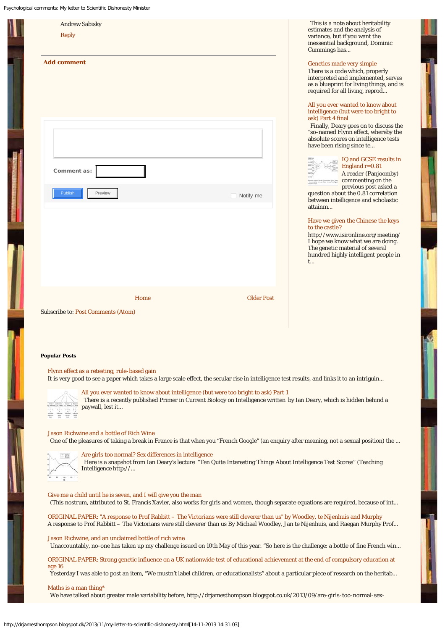|  | Psychological comments: My letter to Scientific Dishonesty Minister                                                                                                                                                                                                                                                                                                 |                                                                                                                                                                                                                                                                                      |
|--|---------------------------------------------------------------------------------------------------------------------------------------------------------------------------------------------------------------------------------------------------------------------------------------------------------------------------------------------------------------------|--------------------------------------------------------------------------------------------------------------------------------------------------------------------------------------------------------------------------------------------------------------------------------------|
|  | <b>Andrew Sabisky</b><br><b>Reply</b>                                                                                                                                                                                                                                                                                                                               | This is a note about heritability<br>estimates and the analysis of<br>variance, but if you want the<br>inessential background, Dominic<br>Cummings has                                                                                                                               |
|  | <b>Add comment</b>                                                                                                                                                                                                                                                                                                                                                  | Genetics made very simple<br>There is a code which, properly<br>interpreted and implemented, serves<br>as a blueprint for living things, and is<br>required for all living, reprod<br>All you ever wanted to know about<br>intelligence (but were too bright to<br>ask) Part 4 final |
|  | Comment as:                                                                                                                                                                                                                                                                                                                                                         | Finally, Deary goes on to discuss the<br>"so-named Flynn effect, whereby the<br>absolute scores on intelligence tests<br>have been rising since te<br>IQ and GCSE results in<br>England $r=0.81$<br>A reader (Panjoomby)                                                             |
|  | Publish<br>Preview<br>$\Box$ Notify me                                                                                                                                                                                                                                                                                                                              | commenting on the<br>and the references direct analysis<br>and datase transport conditions<br>previous post asked a<br>question about the 0.81 correlation<br>between intelligence and scholastic<br>attainm                                                                         |
|  |                                                                                                                                                                                                                                                                                                                                                                     | Have we given the Chinese the keys<br>to the castle?<br>http://www.isironline.org/meeting/<br>I hope we know what we are doing.<br>The genetic material of several<br>hundred highly intelligent people in<br>t                                                                      |
|  | <b>Older Post</b><br>Home<br><b>Subscribe to: Post Comments (Atom)</b>                                                                                                                                                                                                                                                                                              |                                                                                                                                                                                                                                                                                      |
|  | <b>Popular Posts</b><br>Flynn effect as a retesting, rule-based gain<br>It is very good to see a paper which takes a large scale effect, the secular rise in intelligence test results, and links it to an intriguin                                                                                                                                                |                                                                                                                                                                                                                                                                                      |
|  | All you ever wanted to know about intelligence (but were too bright to ask) Part 1<br>There is a recently published Primer in Current Biology on Intelligence written by Ian Deary, which is hidden behind a<br>paywall, lest it                                                                                                                                    |                                                                                                                                                                                                                                                                                      |
|  | Jason Richwine and a bottle of Rich Wine<br>One of the pleasures of taking a break in France is that when you "French Google" (an enquiry after meaning, not a sexual position) the<br>Are girls too normal? Sex differences in intelligence<br>Here is a snapshot from Ian Deary's lecture "Ten Quite Interesting Things About Intelligence Test Scores" (Teaching |                                                                                                                                                                                                                                                                                      |
|  | Intelligence http://<br>Give me a child until he is seven, and I will give you the man                                                                                                                                                                                                                                                                              |                                                                                                                                                                                                                                                                                      |
|  | (This nostrum, attributed to St. Francis Xavier, also works for girls and women, though separate equations are required, because of int                                                                                                                                                                                                                             |                                                                                                                                                                                                                                                                                      |
|  | ORIGINAL PAPER: "A response to Prof Rabbitt - The Victorians were still cleverer than us" by Woodley, te Nijenhuis and Murphy<br>A response to Prof Rabbitt - The Victorians were still cleverer than us By Michael Woodley, Jan te Nijenhuis, and Raegan Murphy Prof                                                                                               |                                                                                                                                                                                                                                                                                      |

[Jason Richwine, and an unclaimed bottle of rich wine](http://drjamesthompson.blogspot.dk/2013/08/jason-richwine-and-unclaimed-bottle-of.html) Unaccountably, no-one has taken up my challenge issued on 10th May of this year. "So here is the challenge: a bottle of fine French win...

[ORIGINAL PAPER: Strong genetic influence on a UK nationwide test of educational achievement at the end of compulsory education at](http://drjamesthompson.blogspot.dk/2013/08/original-paper-strong-genetic-influence.html) [age 16](http://drjamesthompson.blogspot.dk/2013/08/original-paper-strong-genetic-influence.html)

Yesterday I was able to post an item, "We mustn't label children, or educationalists" about a particular piece of research on the heritab...

### [Maths is a man thing\\*](http://drjamesthompson.blogspot.dk/2013/09/maths-is-man-thing.html)

We have talked about greater male variability before, http://drjamesthompson.blogspot.co.uk/2013/09/are-girls-too-normal-sex-